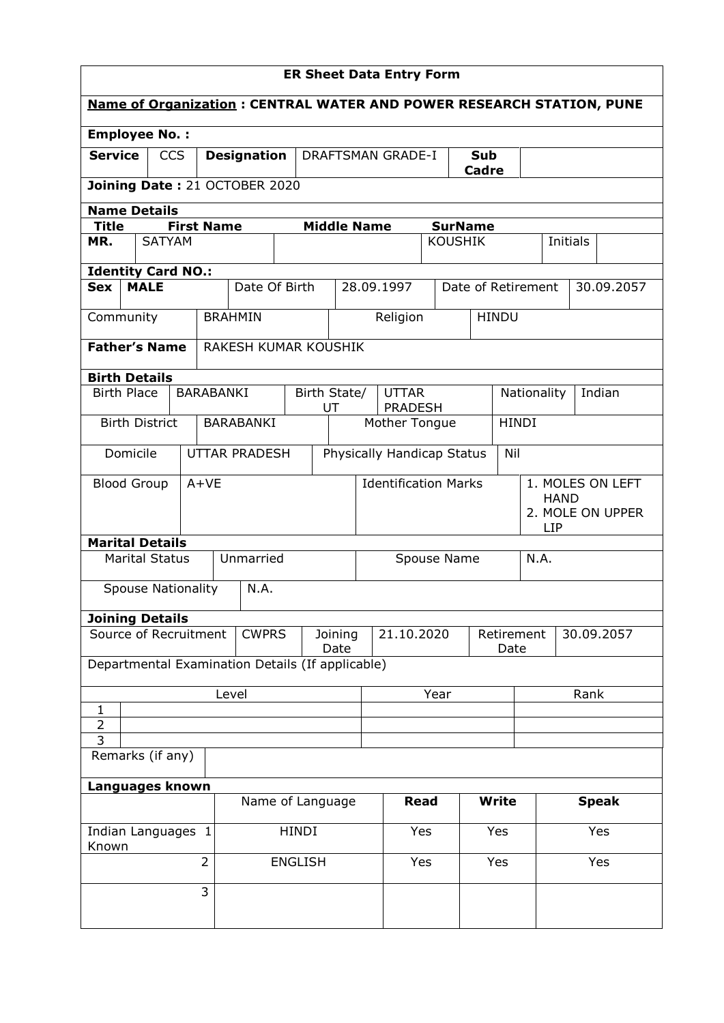|                                    |             |               |                   |                                 |                                                                             |                                   |                                  |                                                 |  | <b>ER Sheet Data Entry Form</b> |                |                                        |              |     |          |  |                  |
|------------------------------------|-------------|---------------|-------------------|---------------------------------|-----------------------------------------------------------------------------|-----------------------------------|----------------------------------|-------------------------------------------------|--|---------------------------------|----------------|----------------------------------------|--------------|-----|----------|--|------------------|
|                                    |             |               |                   |                                 | <b>Name of Organization: CENTRAL WATER AND POWER RESEARCH STATION, PUNE</b> |                                   |                                  |                                                 |  |                                 |                |                                        |              |     |          |  |                  |
| <b>Employee No.:</b>               |             |               |                   |                                 |                                                                             |                                   |                                  |                                                 |  |                                 |                |                                        |              |     |          |  |                  |
| <b>Service</b>                     |             | <b>CCS</b>    |                   | <b>Designation</b>              |                                                                             |                                   |                                  | <b>DRAFTSMAN GRADE-I</b><br><b>Sub</b><br>Cadre |  |                                 |                |                                        |              |     |          |  |                  |
|                                    |             |               |                   |                                 | Joining Date: 21 OCTOBER 2020                                               |                                   |                                  |                                                 |  |                                 |                |                                        |              |     |          |  |                  |
| <b>Name Details</b>                |             |               |                   |                                 |                                                                             |                                   |                                  |                                                 |  |                                 |                |                                        |              |     |          |  |                  |
| <b>Title</b>                       |             |               | <b>First Name</b> |                                 |                                                                             |                                   |                                  | <b>Middle Name</b>                              |  |                                 |                | <b>SurName</b>                         |              |     |          |  |                  |
| MR.                                |             | <b>SATYAM</b> |                   |                                 |                                                                             |                                   |                                  |                                                 |  |                                 | <b>KOUSHIK</b> |                                        |              |     | Initials |  |                  |
| <b>Identity Card NO.:</b>          |             |               |                   |                                 |                                                                             |                                   |                                  |                                                 |  |                                 |                |                                        |              |     |          |  |                  |
| <b>Sex</b>                         | <b>MALE</b> |               |                   |                                 | Date Of Birth                                                               |                                   |                                  |                                                 |  | 28.09.1997                      |                | Date of Retirement                     |              |     |          |  | 30.09.2057       |
| Community                          |             |               |                   |                                 | <b>BRAHMIN</b>                                                              |                                   |                                  |                                                 |  | Religion                        |                |                                        | <b>HINDU</b> |     |          |  |                  |
| <b>Father's Name</b>               |             |               |                   |                                 | <b>RAKESH KUMAR KOUSHIK</b>                                                 |                                   |                                  |                                                 |  |                                 |                |                                        |              |     |          |  |                  |
| <b>Birth Details</b>               |             |               |                   |                                 |                                                                             |                                   |                                  |                                                 |  |                                 |                |                                        |              |     |          |  |                  |
| <b>Birth Place</b>                 |             |               |                   |                                 | <b>BARABANKI</b><br>Birth State/<br>UT                                      |                                   |                                  | <b>UTTAR</b><br><b>PRADESH</b>                  |  |                                 |                | Indian<br>Nationality                  |              |     |          |  |                  |
| <b>Birth District</b><br>BARABANKI |             |               |                   |                                 | <b>HINDI</b><br>Mother Tongue                                               |                                   |                                  |                                                 |  |                                 |                |                                        |              |     |          |  |                  |
| Domicile<br><b>UTTAR PRADESH</b>   |             |               |                   |                                 |                                                                             | Physically Handicap Status<br>Nil |                                  |                                                 |  |                                 |                |                                        |              |     |          |  |                  |
| <b>Blood Group</b>                 |             |               | $A+VE$            |                                 |                                                                             |                                   |                                  |                                                 |  | <b>Identification Marks</b>     |                |                                        |              |     |          |  | 1. MOLES ON LEFT |
|                                    |             |               |                   |                                 |                                                                             |                                   |                                  |                                                 |  |                                 |                | <b>HAND</b><br>2. MOLE ON UPPER<br>LIP |              |     |          |  |                  |
| <b>Marital Details</b>             |             |               |                   |                                 |                                                                             |                                   |                                  |                                                 |  |                                 |                |                                        |              |     |          |  |                  |
| <b>Marital Status</b>              |             |               |                   | Unmarried                       |                                                                             |                                   |                                  | Spouse Name                                     |  |                                 |                | N.A.                                   |              |     |          |  |                  |
| <b>Spouse Nationality</b><br>N.A.  |             |               |                   |                                 |                                                                             |                                   |                                  |                                                 |  |                                 |                |                                        |              |     |          |  |                  |
| <b>Joining Details</b>             |             |               |                   |                                 |                                                                             |                                   |                                  |                                                 |  |                                 |                |                                        |              |     |          |  |                  |
| Source of Recruitment              |             |               |                   | <b>CWPRS</b><br>Joining<br>Date |                                                                             |                                   | 21.10.2020<br>Retirement<br>Date |                                                 |  | 30.09.2057                      |                |                                        |              |     |          |  |                  |
|                                    |             |               |                   |                                 | Departmental Examination Details (If applicable)                            |                                   |                                  |                                                 |  |                                 |                |                                        |              |     |          |  |                  |
|                                    |             |               |                   |                                 | Level                                                                       |                                   |                                  | Year                                            |  |                                 |                | Rank                                   |              |     |          |  |                  |
| $\mathbf{1}$                       |             |               |                   |                                 |                                                                             |                                   |                                  |                                                 |  |                                 |                |                                        |              |     |          |  |                  |
| $\overline{2}$                     |             |               |                   |                                 |                                                                             |                                   |                                  |                                                 |  |                                 |                |                                        |              |     |          |  |                  |
| 3<br>Remarks (if any)              |             |               |                   |                                 |                                                                             |                                   |                                  |                                                 |  |                                 |                |                                        |              |     |          |  |                  |
| Languages known                    |             |               |                   |                                 |                                                                             |                                   |                                  |                                                 |  |                                 |                |                                        |              |     |          |  |                  |
|                                    |             |               |                   |                                 | Name of Language                                                            |                                   |                                  |                                                 |  | <b>Read</b>                     |                |                                        | <b>Write</b> |     |          |  | <b>Speak</b>     |
| Indian Languages 1<br>Known        |             |               |                   |                                 |                                                                             | <b>HINDI</b>                      |                                  |                                                 |  |                                 | Yes<br>Yes     |                                        |              |     |          |  | Yes              |
|                                    |             |               | $\overline{2}$    |                                 |                                                                             | <b>ENGLISH</b>                    |                                  |                                                 |  |                                 | Yes<br>Yes     |                                        |              | Yes |          |  |                  |
|                                    |             |               | 3                 |                                 |                                                                             |                                   |                                  |                                                 |  |                                 |                |                                        |              |     |          |  |                  |
|                                    |             |               |                   |                                 |                                                                             |                                   |                                  |                                                 |  |                                 |                |                                        |              |     |          |  |                  |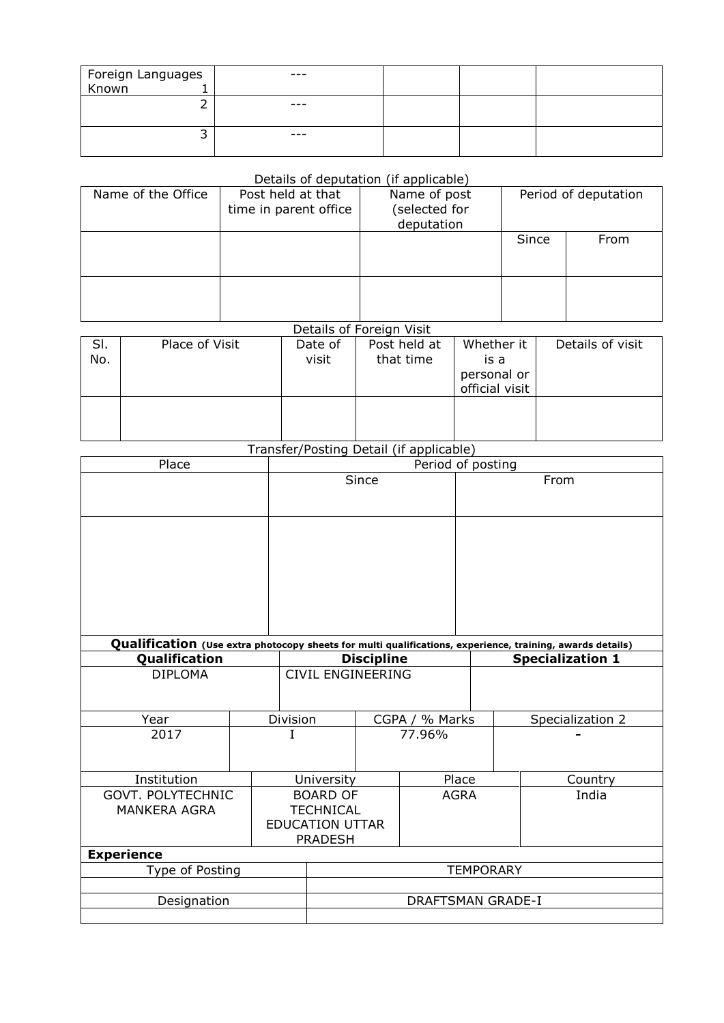| Foreign Languages<br>Known 1 | $- - -$ |  |  |
|------------------------------|---------|--|--|
|                              |         |  |  |
|                              | $- - -$ |  |  |
|                              |         |  |  |
|                              | $- - -$ |  |  |
|                              |         |  |  |

## Details of deputation (if applicable)

| Name of the Office | Post held at that<br>time in parent office | Name of post<br>selected for<br>deputation |       | Period of deputation |
|--------------------|--------------------------------------------|--------------------------------------------|-------|----------------------|
|                    |                                            |                                            | Since | From                 |
|                    |                                            |                                            |       |                      |

## Details of Foreign Visit

| SI.<br>No. | Place of Visit | Date of<br>visit | Post held at<br>that time | Whether it<br>is a<br>personal or | Details of visit |
|------------|----------------|------------------|---------------------------|-----------------------------------|------------------|
|            |                |                  |                           |                                   |                  |
|            |                |                  |                           | official visit                    |                  |
|            |                |                  |                           |                                   |                  |
|            |                |                  |                           |                                   |                  |
|            |                |                  |                           |                                   |                  |
|            |                |                  |                           |                                   |                  |

## Transfer/Posting Detail (if applicable)

| Place                    |  | Period of posting          |                          |        |                                                                                                                                      |                  |  |  |
|--------------------------|--|----------------------------|--------------------------|--------|--------------------------------------------------------------------------------------------------------------------------------------|------------------|--|--|
|                          |  |                            | Since                    |        |                                                                                                                                      | From             |  |  |
|                          |  |                            |                          |        |                                                                                                                                      |                  |  |  |
|                          |  |                            |                          |        |                                                                                                                                      |                  |  |  |
|                          |  |                            |                          |        |                                                                                                                                      |                  |  |  |
|                          |  |                            |                          |        |                                                                                                                                      |                  |  |  |
|                          |  |                            |                          |        |                                                                                                                                      |                  |  |  |
|                          |  |                            |                          |        |                                                                                                                                      |                  |  |  |
|                          |  |                            |                          |        |                                                                                                                                      |                  |  |  |
| Qualification            |  |                            | <b>Discipline</b>        |        | Qualification (Use extra photocopy sheets for multi qualifications, experience, training, awards details)<br><b>Specialization 1</b> |                  |  |  |
| <b>DIPLOMA</b>           |  | <b>CIVIL ENGINEERING</b>   |                          |        |                                                                                                                                      |                  |  |  |
|                          |  |                            |                          |        |                                                                                                                                      |                  |  |  |
| Year                     |  | Division<br>CGPA / % Marks |                          |        |                                                                                                                                      | Specialization 2 |  |  |
| 2017                     |  | T                          |                          | 77.96% |                                                                                                                                      |                  |  |  |
|                          |  |                            |                          |        |                                                                                                                                      |                  |  |  |
| Institution              |  | University                 |                          | Place  |                                                                                                                                      | Country          |  |  |
| <b>GOVT. POLYTECHNIC</b> |  | <b>BOARD OF</b>            | <b>AGRA</b>              |        |                                                                                                                                      | India            |  |  |
| <b>MANKERA AGRA</b>      |  | <b>TECHNICAL</b>           |                          |        |                                                                                                                                      |                  |  |  |
|                          |  | <b>EDUCATION UTTAR</b>     |                          |        |                                                                                                                                      |                  |  |  |
|                          |  | <b>PRADESH</b>             |                          |        |                                                                                                                                      |                  |  |  |
| <b>Experience</b>        |  |                            |                          |        |                                                                                                                                      |                  |  |  |
| Type of Posting          |  | <b>TEMPORARY</b>           |                          |        |                                                                                                                                      |                  |  |  |
|                          |  |                            | <b>DRAFTSMAN GRADE-I</b> |        |                                                                                                                                      |                  |  |  |
| Designation              |  |                            |                          |        |                                                                                                                                      |                  |  |  |